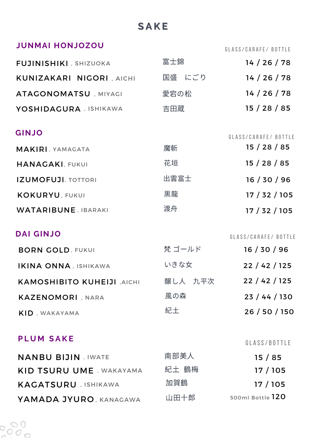# **S A K E**

## **JUNMAI HONJOZOU**

GLASS/CARAFE/ BOTTLE

| FUJINISHIKI , SHIZUOKA           | 富士錦    | 14 / 26 / 78 |
|----------------------------------|--------|--------------|
| <b>KUNIZAKARI NIGORI , AICHI</b> | 国盛 にごり | 14/26/78     |
| ATAGONOMATSU , MIYAGI            | 愛宕の松   | 14 / 26 / 78 |
| YOSHIDAGURA , ISHIKAWA           | 吉田蔵    | 15/28/85     |

### **GINJO**

| <b>______</b>              |      | GLASS/CARAFE/ BOTTLE |
|----------------------------|------|----------------------|
| <b>MAKIRI, YAMAGATA</b>    | 魔斬   | 15/28/85             |
| <b>HANAGAKI, FUKUI</b>     | 花垣   | 15/28/85             |
| <b>IZUMOFUJI, TOTTORI</b>  | 出雲富士 | 16/30/96             |
| <b>KOKURYU, FUKUI</b>      | 黒龍   | 17/32/105            |
| <b>WATARIBUNE, IBARAKI</b> | 渡舟   | 17 / 32 / 105        |

## **DAI GINJO**

GLASS/CARAFE/ BOTTLE

| <b>BORN GOLD, FUKUI</b>     | 梵 ゴールド  | 16/30/96      |
|-----------------------------|---------|---------------|
| <b>IKINA ONNA, ISHIKAWA</b> | いきな女    | 22/42/125     |
| KAMOSHIBITO KUHEIJI , AICHI | 醸し人 九平次 | 22/42/125     |
| <b>KAZENOMORI, NARA</b>     | 風の森     | 23/44/130     |
| <b>KID</b> , WAKAYAMA       | 紀土      | 26 / 50 / 150 |

### **P L U M S A K E**

 $\frac{8}{3}$ 

## GLASS/BOTTLE

| <b>NANBU BIJIN JIWATE</b>       | 南部美人  | 15/85            |
|---------------------------------|-------|------------------|
| <b>KID TSURU UME . WAKAYAMA</b> | 紀土 鶴梅 | 17/105           |
| <b>KACATSURU</b> , ISHIKAWA     | 加賀鶴   | 17/105           |
| YAMADA JYURO, KANAGAWA          | 山田十郎  | 500ml Bottle 120 |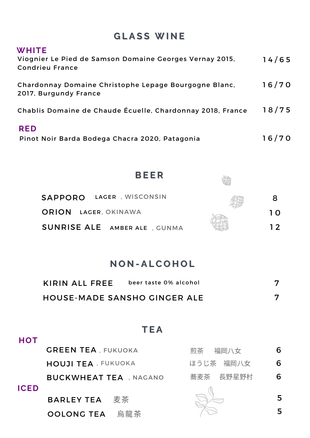# **G L A S S W I N E**

| <b>WHITE</b><br>Viognier Le Pied de Samson Domaine Georges Vernay 2015,<br><b>Condrieu France</b> | 14/65 |
|---------------------------------------------------------------------------------------------------|-------|
| Chardonnay Domaine Christophe Lepage Bourgogne Blanc,<br>2017, Burgundy France                    | 16/70 |
| Chablis Domaine de Chaude Écuelle, Chardonnay 2018, France                                        | 18/75 |
| <b>RED</b><br>Pinot Noir Barda Bodega Chacra 2020, Patagonia                                      | 16/70 |



# **N O N - A L C O H O L**

| KIRIN ALL FREE                      | beer taste 0% alcohol |  |
|-------------------------------------|-----------------------|--|
| <b>HOUSE-MADE SANSHO GINGER ALE</b> |                       |  |

# **HOT**

## **T E A**

|             | <b>GREEN TEA, FUKUOKA</b>  | 福岡八女<br>煎茶 | 6. |
|-------------|----------------------------|------------|----|
|             | <b>HOUJI TEA</b> , FUKUOKA | ほうじ茶 福岡八女  | 6  |
|             | BUCKWHEAT TEA , NAGANO     | 蕎麦茶 長野星野村  | 6  |
| <b>ICED</b> | <b>BARLEY TEA</b> 麦茶       |            | 5. |
|             | OOLONG TEA 烏龍茶             |            |    |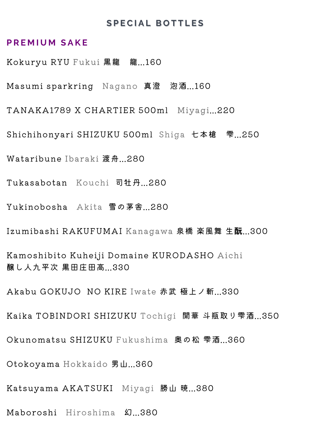#### **S P E C I A L B O T T L E S**

#### **P R E M I U M S A K E**

Kokuryu RYU Fukui 黒龍 龍...160

Masumi sparkring Nagano 真澄 泡酒...160

TANAKA1789 X CHARTIER 500ml Miyagi...220

Shichihonyari SHIZUKU 500ml Shiga 七本槍 雫...250

Wataribune Ibaraki 渡舟...280

Tukasabotan Kouchi 司牡丹...280

Yukinobosha Akita 雪の茅舎...280

Izumibashi RAKUFUMAI Kanagawa 泉橋 楽風舞 生酛...300

Kamoshibito Kuheiji Domaine KURODASHO Aichi 醸し人九平次 黒田庄田高...330

Akabu GOKUJO NO KIRE Iwate 赤武 極上ノ斬...330

Kaika TOBINDORI SHIZUKU Tochigi 開華 斗瓶取り雫酒...350

Okunomatsu SHIZUKU Fukushima 奥の松 雫酒...360

Otokoyama Hokkaido 男山...360

Katsuyama AKATSUKI Miyagi 勝山 暁...380

Maboroshi Hiroshima 幻...380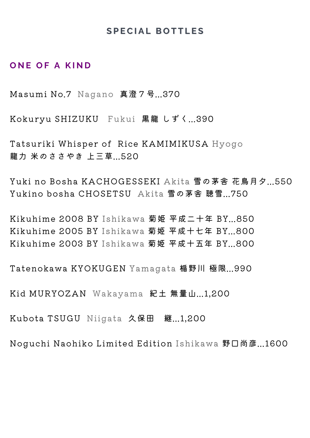### **S P E C I A L B O T T L E S**

### **O N E O F A K I N D**

Masumi No.7 Nagano 真澄7号...370

Kokuryu SHIZUKU Fukui 黒龍 しずく...390

Tatsuriki Whisper of Rice KAMIMIKUSA Hyogo 龍力 米のささやき 上三草...520

Yuki no Bosha KACHOGESSEKI Akita 雪の茅舎 花鳥月夕...550 Yukino bosha CHOSETSU Akita 雪の茅舎 聴雪...750

Kikuhime 2008 BY Ishikawa 菊姫 平成二十年 BY...850 Kikuhime 2005 BY Ishikawa 菊姫 平成十七年 BY...800 Kikuhime 2003 BY Ishikawa 菊姫 平成十五年 BY...800

Tatenokawa KYOKUGEN Yamagata 楯野川 極限...990

Kid MURYOZAN Wakayama 紀土 無量山...1,200

Kubota TSUGU Niigata 久保田 継...1,200

Noguchi Naohiko Limited Edition Ishikawa 野口尚彦...1600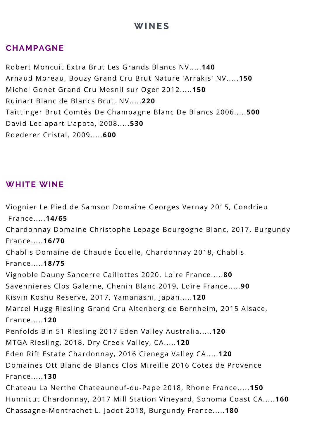# **W I N E S**

## **CHAMPAGNE**

Robert Moncuit Extra Brut Les Grands Blancs NV.....**140** Arnaud Moreau, Bouzy Grand Cru Brut Nature 'Arrakis' NV.....**150** Michel Gonet Grand Cru Mesnil sur Oger 2012.....**150** Ruinart Blanc de Blancs Brut, NV.....**220** Taittinger Brut Comtés De Champagne Blanc De Blancs 2006.....**500** David Leclapart L'apota, 2008.....**530** Roederer Cristal, 2009.....**600**

## **WHITE WINE**

Viognier Le Pied de Samson Domaine Georges Vernay 2015, Condrieu France.....**14/65** Chardonnay Domaine Christophe Lepage Bourgogne Blanc, 2017, Burgundy France.....**16/70** Chablis Domaine de Chaude Écuelle, Chardonnay 2018, Chablis France.....**18/75** Vignoble Dauny Sancerre Caillottes 2020, Loire France.....**80** Savennieres Clos Galerne, Chenin Blanc 2019, Loire France.....**90** Kisvin Koshu Reserve, 2017, Yamanashi, Japan.....**120** Marcel Hugg Riesling Grand Cru Altenberg de Bernheim, 2015 Alsace, France.....**120** Penfolds Bin 51 Riesling 2017 Eden Valley Australia.....**120** MTGA Riesling, 2018, Dry Creek Valley, CA.....**120** Eden Rift Estate Chardonnay, 2016 Cienega Valley CA.....**120** Domaines Ott Blanc de Blancs Clos Mireille 2016 Cotes de Provence France.....**130** Chateau La Nerthe Chateauneuf-du-Pape 2018, Rhone France.....**150** Hunnicut Chardonnay, 2017 Mill Station Vineyard, Sonoma Coast CA.....**160** Chassagne-Montrachet L. Jadot 2018, Burgundy France.....**180**